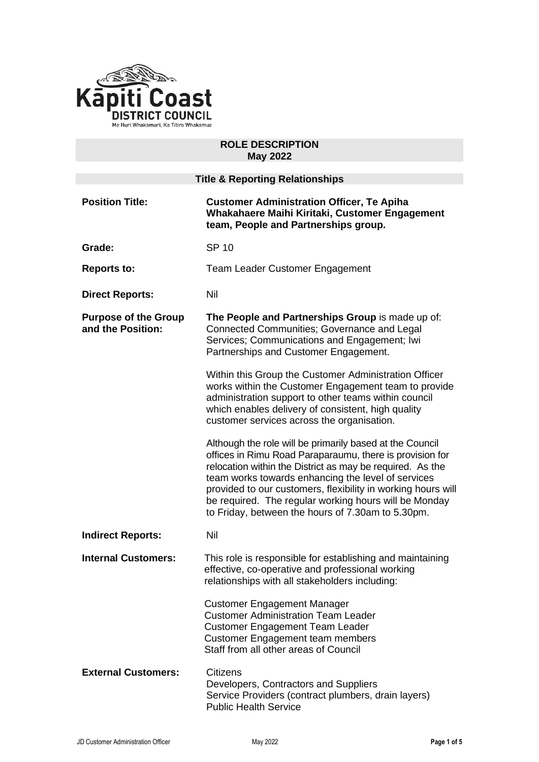

### **ROLE DESCRIPTION May 2022**

| <b>Title &amp; Reporting Relationships</b>       |                                                                                                                                                                                                                                                                                                                                                                                                                       |
|--------------------------------------------------|-----------------------------------------------------------------------------------------------------------------------------------------------------------------------------------------------------------------------------------------------------------------------------------------------------------------------------------------------------------------------------------------------------------------------|
| <b>Position Title:</b>                           | <b>Customer Administration Officer, Te Apiha</b><br>Whakahaere Maihi Kiritaki, Customer Engagement<br>team, People and Partnerships group.                                                                                                                                                                                                                                                                            |
| Grade:                                           | <b>SP 10</b>                                                                                                                                                                                                                                                                                                                                                                                                          |
| <b>Reports to:</b>                               | <b>Team Leader Customer Engagement</b>                                                                                                                                                                                                                                                                                                                                                                                |
| <b>Direct Reports:</b>                           | Nil                                                                                                                                                                                                                                                                                                                                                                                                                   |
| <b>Purpose of the Group</b><br>and the Position: | The People and Partnerships Group is made up of:<br>Connected Communities; Governance and Legal<br>Services; Communications and Engagement; Iwi<br>Partnerships and Customer Engagement.                                                                                                                                                                                                                              |
|                                                  | Within this Group the Customer Administration Officer<br>works within the Customer Engagement team to provide<br>administration support to other teams within council<br>which enables delivery of consistent, high quality<br>customer services across the organisation.                                                                                                                                             |
|                                                  | Although the role will be primarily based at the Council<br>offices in Rimu Road Paraparaumu, there is provision for<br>relocation within the District as may be required. As the<br>team works towards enhancing the level of services<br>provided to our customers, flexibility in working hours will<br>be required. The regular working hours will be Monday<br>to Friday, between the hours of 7.30am to 5.30pm. |
| <b>Indirect Reports:</b>                         | Nil                                                                                                                                                                                                                                                                                                                                                                                                                   |
| <b>Internal Customers:</b>                       | This role is responsible for establishing and maintaining<br>effective, co-operative and professional working<br>relationships with all stakeholders including:                                                                                                                                                                                                                                                       |
|                                                  | <b>Customer Engagement Manager</b><br><b>Customer Administration Team Leader</b><br><b>Customer Engagement Team Leader</b><br><b>Customer Engagement team members</b><br>Staff from all other areas of Council                                                                                                                                                                                                        |
| <b>External Customers:</b>                       | <b>Citizens</b><br>Developers, Contractors and Suppliers<br>Service Providers (contract plumbers, drain layers)<br><b>Public Health Service</b>                                                                                                                                                                                                                                                                       |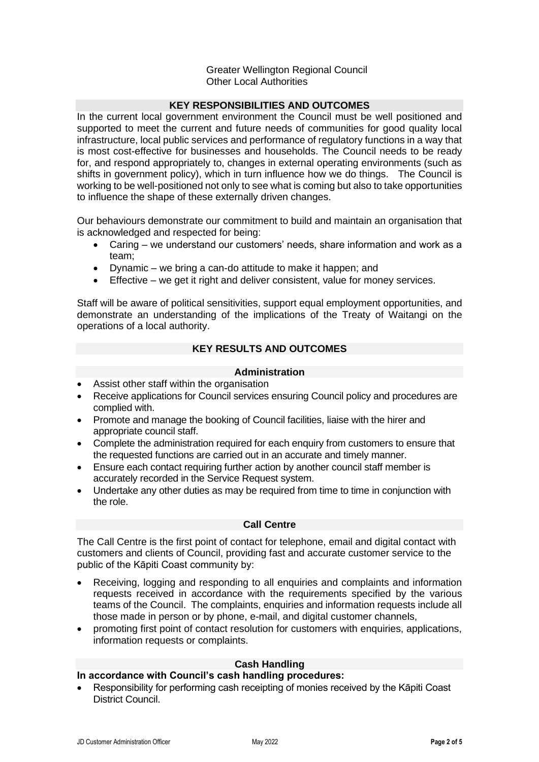## Greater Wellington Regional Council Other Local Authorities

# **KEY RESPONSIBILITIES AND OUTCOMES**

In the current local government environment the Council must be well positioned and supported to meet the current and future needs of communities for good quality local infrastructure, local public services and performance of regulatory functions in a way that is most cost-effective for businesses and households. The Council needs to be ready for, and respond appropriately to, changes in external operating environments (such as shifts in government policy), which in turn influence how we do things. The Council is working to be well-positioned not only to see what is coming but also to take opportunities to influence the shape of these externally driven changes.

Our behaviours demonstrate our commitment to build and maintain an organisation that is acknowledged and respected for being:

- Caring we understand our customers' needs, share information and work as a team;
- Dynamic we bring a can-do attitude to make it happen; and
- Effective we get it right and deliver consistent, value for money services.

Staff will be aware of political sensitivities, support equal employment opportunities, and demonstrate an understanding of the implications of the Treaty of Waitangi on the operations of a local authority.

## **KEY RESULTS AND OUTCOMES**

### **Administration**

- Assist other staff within the organisation
- Receive applications for Council services ensuring Council policy and procedures are complied with.
- Promote and manage the booking of Council facilities, liaise with the hirer and appropriate council staff.
- Complete the administration required for each enquiry from customers to ensure that the requested functions are carried out in an accurate and timely manner.
- Ensure each contact requiring further action by another council staff member is accurately recorded in the Service Request system.
- Undertake any other duties as may be required from time to time in conjunction with the role.

## **Call Centre**

The Call Centre is the first point of contact for telephone, email and digital contact with customers and clients of Council, providing fast and accurate customer service to the public of the Kāpiti Coast community by:

- Receiving, logging and responding to all enquiries and complaints and information requests received in accordance with the requirements specified by the various teams of the Council. The complaints, enquiries and information requests include all those made in person or by phone, e-mail, and digital customer channels,
- promoting first point of contact resolution for customers with enquiries, applications, information requests or complaints.

## **Cash Handling**

## **In accordance with Council's cash handling procedures:**

• Responsibility for performing cash receipting of monies received by the Kāpiti Coast District Council.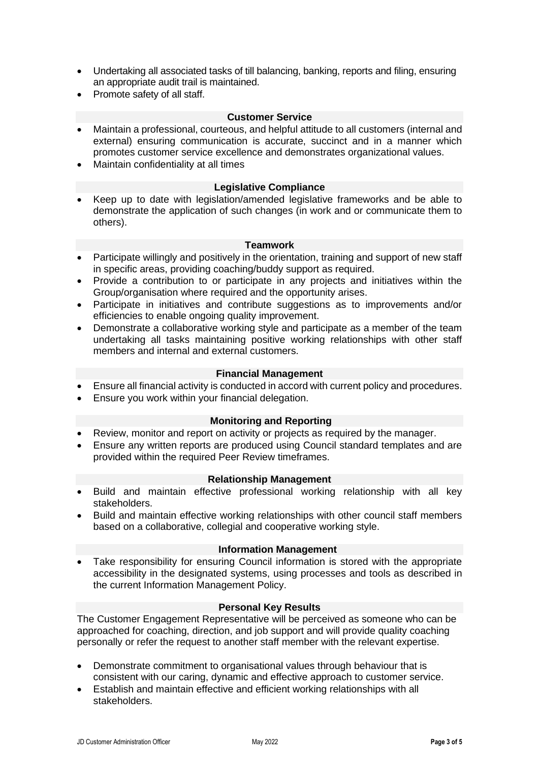- Undertaking all associated tasks of till balancing, banking, reports and filing, ensuring an appropriate audit trail is maintained.
- Promote safety of all staff.

### **Customer Service**

- Maintain a professional, courteous, and helpful attitude to all customers (internal and external) ensuring communication is accurate, succinct and in a manner which promotes customer service excellence and demonstrates organizational values.
- Maintain confidentiality at all times

#### **Legislative Compliance**

• Keep up to date with legislation/amended legislative frameworks and be able to demonstrate the application of such changes (in work and or communicate them to others).

#### **Teamwork**

- Participate willingly and positively in the orientation, training and support of new staff in specific areas, providing coaching/buddy support as required.
- Provide a contribution to or participate in any projects and initiatives within the Group/organisation where required and the opportunity arises.
- Participate in initiatives and contribute suggestions as to improvements and/or efficiencies to enable ongoing quality improvement.
- Demonstrate a collaborative working style and participate as a member of the team undertaking all tasks maintaining positive working relationships with other staff members and internal and external customers.

#### **Financial Management**

- Ensure all financial activity is conducted in accord with current policy and procedures.
- Ensure you work within your financial delegation.

#### **Monitoring and Reporting**

- Review, monitor and report on activity or projects as required by the manager.
- Ensure any written reports are produced using Council standard templates and are provided within the required Peer Review timeframes.

#### **Relationship Management**

- Build and maintain effective professional working relationship with all key stakeholders.
- Build and maintain effective working relationships with other council staff members based on a collaborative, collegial and cooperative working style.

### **Information Management**

• Take responsibility for ensuring Council information is stored with the appropriate accessibility in the designated systems, using processes and tools as described in the current Information Management Policy.

### **Personal Key Results**

The Customer Engagement Representative will be perceived as someone who can be approached for coaching, direction, and job support and will provide quality coaching personally or refer the request to another staff member with the relevant expertise.

- Demonstrate commitment to organisational values through behaviour that is consistent with our caring, dynamic and effective approach to customer service.
- Establish and maintain effective and efficient working relationships with all stakeholders.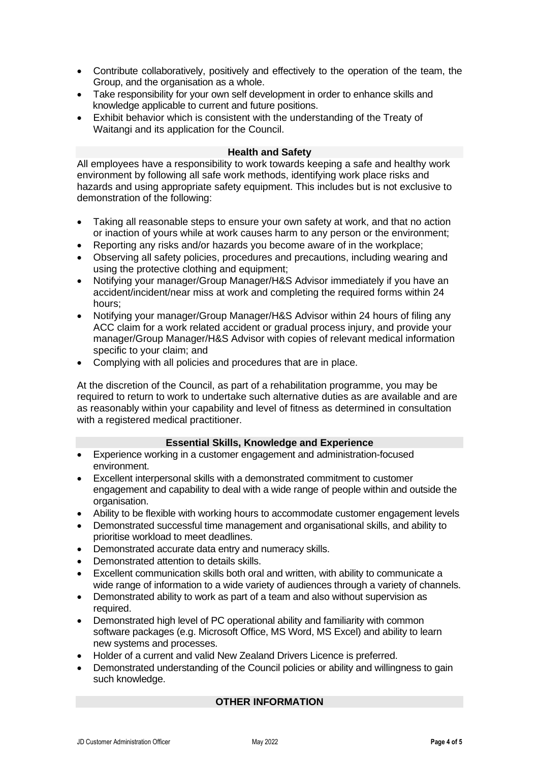- Contribute collaboratively, positively and effectively to the operation of the team, the Group, and the organisation as a whole.
- Take responsibility for your own self development in order to enhance skills and knowledge applicable to current and future positions.
- Exhibit behavior which is consistent with the understanding of the Treaty of Waitangi and its application for the Council.

#### **Health and Safety**

All employees have a responsibility to work towards keeping a safe and healthy work environment by following all safe work methods, identifying work place risks and hazards and using appropriate safety equipment. This includes but is not exclusive to demonstration of the following:

- Taking all reasonable steps to ensure your own safety at work, and that no action or inaction of yours while at work causes harm to any person or the environment;
- Reporting any risks and/or hazards you become aware of in the workplace;
- Observing all safety policies, procedures and precautions, including wearing and using the protective clothing and equipment;
- Notifying your manager/Group Manager/H&S Advisor immediately if you have an accident/incident/near miss at work and completing the required forms within 24 hours;
- Notifying your manager/Group Manager/H&S Advisor within 24 hours of filing any ACC claim for a work related accident or gradual process injury, and provide your manager/Group Manager/H&S Advisor with copies of relevant medical information specific to your claim; and
- Complying with all policies and procedures that are in place.

At the discretion of the Council, as part of a rehabilitation programme, you may be required to return to work to undertake such alternative duties as are available and are as reasonably within your capability and level of fitness as determined in consultation with a registered medical practitioner.

### **Essential Skills, Knowledge and Experience**

- Experience working in a customer engagement and administration-focused environment.
- Excellent interpersonal skills with a demonstrated commitment to customer engagement and capability to deal with a wide range of people within and outside the organisation.
- Ability to be flexible with working hours to accommodate customer engagement levels
- Demonstrated successful time management and organisational skills, and ability to prioritise workload to meet deadlines.
- Demonstrated accurate data entry and numeracy skills.
- Demonstrated attention to details skills.
- Excellent communication skills both oral and written, with ability to communicate a wide range of information to a wide variety of audiences through a variety of channels.
- Demonstrated ability to work as part of a team and also without supervision as required.
- Demonstrated high level of PC operational ability and familiarity with common software packages (e.g. Microsoft Office, MS Word, MS Excel) and ability to learn new systems and processes.
- Holder of a current and valid New Zealand Drivers Licence is preferred.
- Demonstrated understanding of the Council policies or ability and willingness to gain such knowledge.

## **OTHER INFORMATION**